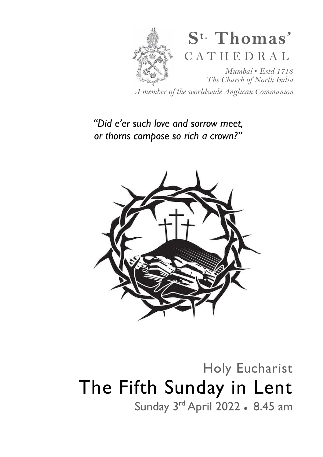

*A member of the worldwide Anglican Communion* 

# *"Did e'er such love and sorrow meet, or thorns compose so rich a crown?"*



Holy Eucharist The Fifth Sunday in Lent Sunday 3rd April 2022 • 8.45 am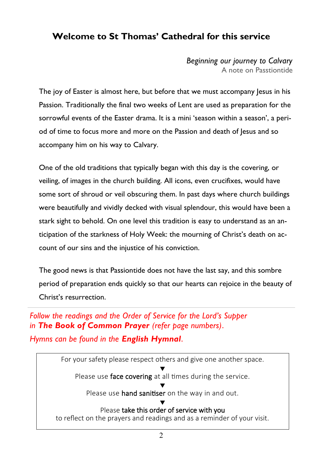# **Welcome to St Thomas' Cathedral for this service**

*Beginning our journey to Calvary*  A note on Passtiontide

The joy of Easter is almost here, but before that we must accompany lesus in his Passion. Traditionally the final two weeks of Lent are used as preparation for the sorrowful events of the Easter drama. It is a mini 'season within a season', a period of time to focus more and more on the Passion and death of Jesus and so accompany him on his way to Calvary.

One of the old traditions that typically began with this day is the covering, or veiling, of images in the church building. All icons, even crucifixes, would have some sort of shroud or veil obscuring them. In past days where church buildings were beautifully and vividly decked with visual splendour, this would have been a stark sight to behold. On one level this tradition is easy to understand as an anticipation of the starkness of Holy Week: the mourning of Christ's death on account of our sins and the injustice of his conviction.

The good news is that Passiontide does not have the last say, and this sombre period of preparation ends quickly so that our hearts can rejoice in the beauty of Christ's resurrection.

*Follow the readings and the Order of Service for the Lord's Supper in The Book of Common Prayer (refer page numbers)*.

*Hymns can be found in the English Hymnal*.

For your safety please respect others and give one another space. ▼ Please use face covering at all times during the service. ▼ Please use hand sanitiser on the way in and out. ▼ Please take this order of service with you to reflect on the prayers and readings and as a reminder of your visit.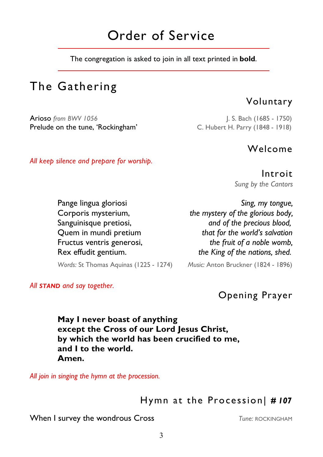# Order of Service

The congregation is asked to join in all text printed in **bold**.

# The Gathering

Arioso *from BWV 1056* J. S. Bach (1685 - 1750) Prelude on the tune, 'Rockingham' C. Hubert H. Parry (1848 - 1918)

*All keep silence and prepare for worship.* 

## Welcome

Voluntary

Introit *Sung by the Cantors* 

Pange lingua gloriosi *Sing, my tongue,*

 Corporis mysterium, *the mystery of the glorious body,* Sanguinisque pretiosi, *and of the precious blood,* Quem in mundi pretium *that for the world's salvation* Fructus ventris generosi, *the fruit of a noble womb,* Rex effudit gentium. *the King of the nations, shed.*

*Words:* St Thomas Aquinas (1225 - 1274) *Music:* Anton Bruckner (1824 - 1896)

*All STAND and say together.*

Opening Prayer

 **May I never boast of anything except the Cross of our Lord Jesus Christ, by which the world has been crucified to me, and I to the world. Amen.**

*All join in singing the hymn at the procession.* 

Hymn at the Procession| *# 107*

**When I survey the wondrous Cross Tune: ROCKINGHAM**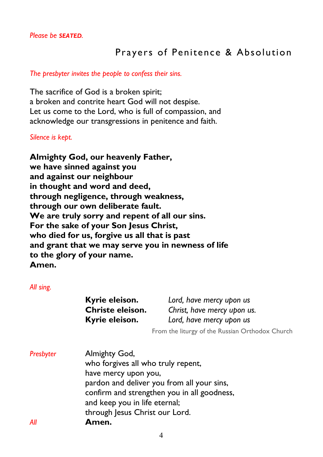# Prayers of Penitence & Absolution

#### *The presbyter invites the people to confess their sins.*

The sacrifice of God is a broken spirit; a broken and contrite heart God will not despise. Let us come to the Lord, who is full of compassion, and acknowledge our transgressions in penitence and faith.

*Silence is kept.* 

**Almighty God, our heavenly Father, we have sinned against you and against our neighbour in thought and word and deed, through negligence, through weakness, through our own deliberate fault. We are truly sorry and repent of all our sins. For the sake of your Son Jesus Christ, who died for us, forgive us all that is past and grant that we may serve you in newness of life to the glory of your name. Amen.** 

*All sing.* 

| Kyrie eleison.   |  |
|------------------|--|
| Christe eleison. |  |
| Kyrie eleison.   |  |

Lord, have mercy upon us Christ, have mercy upon us. **Kyrie eleison.** *Lord, have mercy upon us* 

From the liturgy of the Russian Orthodox Church

*Presbyter* Almighty God, who forgives all who truly repent, have mercy upon you, pardon and deliver you from all your sins, confirm and strengthen you in all goodness, and keep you in life eternal; through Jesus Christ our Lord. *All* **Amen.**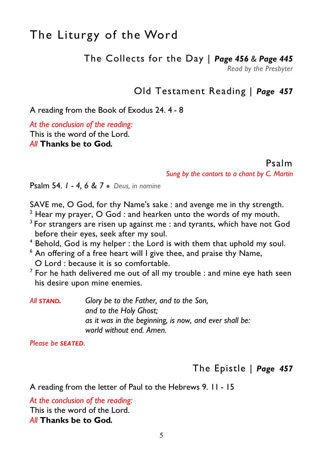# The Liturgy of the Word

The Collects for the Day | *Page 456 & Page 445* 

*Read by the Presbyter* 

# Old Testament Reading | *Page 457*

A reading from the Book of Exodus 24. 4 - 8

*At the conclusion of the reading:*  This is the word of the Lord.

*All* **Thanks be to God***.* 

Psalm

*Sung by the cantors to a chant by C. Martin*

Psalm 54. *1 - 4, 6 & 7* ● *Deus, in nomine* 

SAVE me, O God, for thy Name's sake : and avenge me in thy strength.

- $2$  Hear my prayer, O God : and hearken unto the words of my mouth.
- $3$  For strangers are risen up against me : and tyrants, which have not God before their eyes, seek after my soul.
- <sup>4</sup> Behold, God is my helper : the Lord is with them that uphold my soul.
- $6$  An offering of a free heart will I give thee, and praise thy Name, O Lord : because it is so comfortable.
- $^7$  For he hath delivered me out of all my trouble : and mine eye hath seen his desire upon mine enemies.

*All STAND. Glory be to the Father, and to the Son, and to the Holy Ghost; as it was in the beginning, is now, and ever shall be: world without end. Amen.* 

*Please be SEATED.* 

The Epistle | *Page 457* 

A reading from the letter of Paul to the Hebrews 9. 11 - 15

*At the conclusion of the reading:*  This is the word of the Lord. *All* **Thanks be to God***.*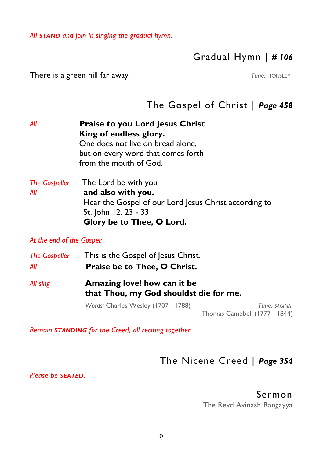*All STAND and join in singing the gradual hymn.* 

# Gradual Hymn | *# 106*

**There is a green hill far away** *Tune: HORSLEY* 

# The Gospel of Christ | *Page 458*

*All* **Praise to you Lord Jesus Christ King of endless glory.**  One does not live on bread alone, but on every word that comes forth from the mouth of God. *The Gospeller* The Lord be with you *All* **and also with you.**  Hear the Gospel of our Lord Jesus Christ according to St. John 12. 23 - 33

 **Glory be to Thee, O Lord.** 

*At the end of the Gospel:* 

| <b>The Gospeller</b><br>All | This is the Gospel of Jesus Christ.<br>Praise be to Thee, O Christ.   |                                               |  |
|-----------------------------|-----------------------------------------------------------------------|-----------------------------------------------|--|
| All sing                    | Amazing love! how can it be<br>that Thou, my God shouldst die for me. |                                               |  |
|                             | Words: Charles Wesley (1707 - 1788)                                   | Tune: SAGINA<br>Thomas Campbell (1777 - 1844) |  |

*Remain STANDING for the Creed, all reciting together.*

# The Nicene Creed | *Page 354*

*Please be SEATED.* 

Sermon

The Revd Avinash Rangayya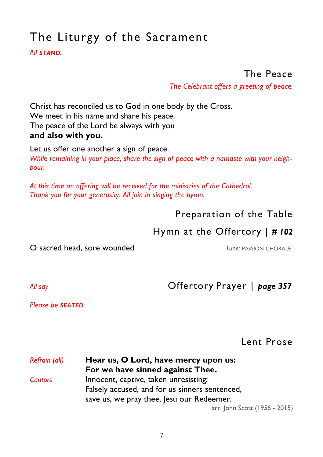# The Liturgy of the Sacrament

*All STAND.* 

# The Peace

*The Celebrant offers a greeting of peace.*

Christ has reconciled us to God in one body by the Cross. We meet in his name and share his peace. The peace of the Lord be always with you **and also with you.** 

Let us offer one another a sign of peace. *While remaining in your place, share the sign of peace with a namaste with your neighbour.* 

*At this time an offering will be received for the ministries of the Cathedral. Thank you for your generosity. All join in singing the hymn.* 

# Preparation of the Table

# Hymn at the Offertory | *# 102*

O sacred head, sore wounded *Tune:* PASSION CHORALE

*All say* Offertory Prayer | *page 357* 

*Please be SEATED.* 

Lent Prose

### *Refrain (all)* **Hear us, O Lord, have mercy upon us: For we have sinned against Thee.**  *Cantors* Innocent, captive, taken unresisting: Falsely accused, and for us sinners sentenced, save us, we pray thee, Jesu our Redeemer.

arr. John Scott (1956 - 2015)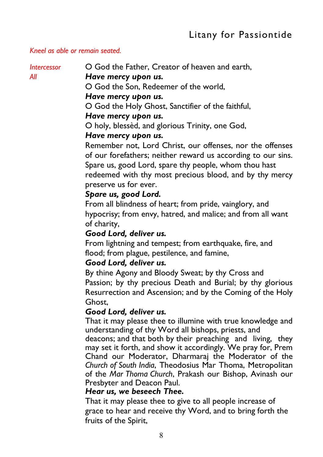#### *Kneel as able or remain seated.*

*Intercessor* **O God the Father, Creator of heaven and earth.** 

#### *All Have mercy upon us.*

O God the Son, Redeemer of the world,

#### *Have mercy upon us.*

O God the Holy Ghost, Sanctifier of the faithful,

#### *Have mercy upon us.*

O holy, blessèd, and glorious Trinity, one God,

#### *Have mercy upon us.*

 Remember not, Lord Christ, our offenses, nor the offenses of our forefathers; neither reward us according to our sins. Spare us, good Lord, spare thy people, whom thou hast redeemed with thy most precious blood, and by thy mercy preserve us for ever.

#### *Spare us, good Lord.*

 From all blindness of heart; from pride, vainglory, and hypocrisy; from envy, hatred, and malice; and from all want of charity,

#### *Good Lord, deliver us.*

 From lightning and tempest; from earthquake, fire, and flood; from plague, pestilence, and famine,

#### *Good Lord, deliver us.*

 By thine Agony and Bloody Sweat; by thy Cross and Passion; by thy precious Death and Burial; by thy glorious Resurrection and Ascension; and by the Coming of the Holy Ghost,

#### *Good Lord, deliver us.*

 That it may please thee to illumine with true knowledge and understanding of thy Word all bishops, priests, and

 deacons; and that both by their preaching and living, they may set it forth, and show it accordingly. We pray for, Prem Chand our Moderator, Dharmaraj the Moderator of the *Church of South India*, Theodosius Mar Thoma, Metropolitan of the *Mar Thoma Church*, Prakash our Bishop, Avinash our Presbyter and Deacon Paul.

#### *Hear us, we beseech Thee.*

 That it may please thee to give to all people increase of grace to hear and receive thy Word, and to bring forth the fruits of the Spirit,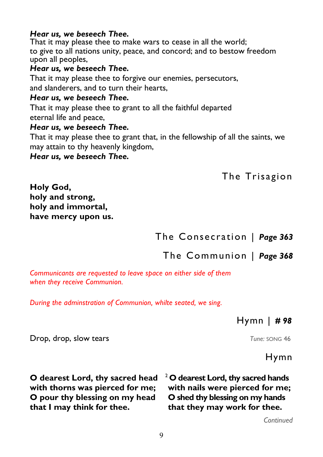#### *Hear us, we beseech Thee.*

That it may please thee to make wars to cease in all the world; to give to all nations unity, peace, and concord; and to bestow freedom upon all peoples,

## *Hear us, we beseech Thee.*

That it may please thee to forgive our enemies, persecutors, and slanderers, and to turn their hearts,

### *Hear us, we beseech Thee.*

That it may please thee to grant to all the faithful departed eternal life and peace,

#### *Hear us, we beseech Thee.*

That it may please thee to grant that, in the fellowship of all the saints, we may attain to thy heavenly kingdom,

*Hear us, we beseech Thee.*

The Trisagion

**Holy God, holy and strong, holy and immortal, have mercy upon us.**

The Consecration | *Page 363* 

The Communion | *Page 368* 

*Communicants are requested to leave space on either side of them when they receive Communion.* 

*During the adminstration of Communion, whilte seated, we sing.* 

## Hymn | *# 98*

**Drop, drop, slow tears Tune: SONG 46 Tune: SONG 46 Tune: song 46** 

## Hymn

**O dearest Lord, thy sacred head with thorns was pierced for me; O pour thy blessing on my head that I may think for thee.** 

<sup>2</sup>**O dearest Lord, thy sacred hands with nails were pierced for me; O shed thy blessing on my hands that they may work for thee.** 

*Continued*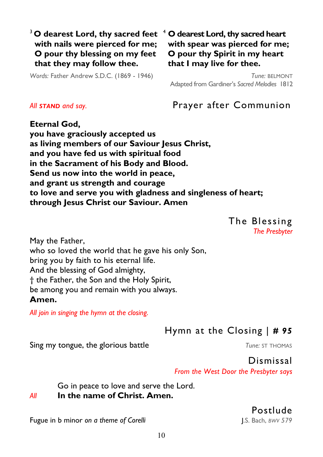### <sup>3</sup> O dearest Lord, thy sacred feet <sup>4</sup> O dearest Lord, thy sacred heart  **with nails were pierced for me; O pour thy blessing on my feet that they may follow thee.**

*Words:* Father Andrew S.D.C. (1869 - 1946)

 **with spear was pierced for me; O pour thy Spirit in my heart that I may live for thee.** 

*Tune:* BELMONT Adapted from Gardiner's *Sacred Melodies* 1812

*All STAND and say.* Prayer after Communion

**Eternal God, you have graciously accepted us as living members of our Saviour Jesus Christ, and you have fed us with spiritual food in the Sacrament of his Body and Blood. Send us now into the world in peace, and grant us strength and courage to love and serve you with gladness and singleness of heart; through Jesus Christ our Saviour. Amen** 

> The Blessing *The Presbyter*

May the Father, who so loved the world that he gave his only Son, bring you by faith to his eternal life. And the blessing of God almighty, † the Father, the Son and the Holy Spirit, be among you and remain with you always. **Amen.** 

*All join in singing the hymn at the closing.* 

Hymn at the Closing | *# 95* 

**Sing my tongue, the glorious battle** *Tune: ST THOMAS* 

Dismissal *From the West Door the Presbyter says* 

Go in peace to love and serve the Lord.

#### *All* **In the name of Christ. Amen.**

Postlude

Fugue in b minor *on a theme of Corelli* J.S. Bach, *BWV 579*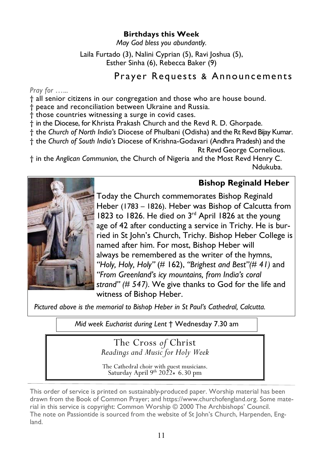#### **Birthdays this Week**

*May God bless you abundantly.* 

Laila Furtado (3), Nalini Cyprian (5), Ravi Joshua (5), Esther Sinha (6), Rebecca Baker (9)

# Prayer Requests & Announcements

*Pray for …...*

† all senior citizens in our congregation and those who are house bound.

† peace and reconciliation between Ukraine and Russia.

† those countries witnessing a surge in covid cases.

† in the Diocese, for Khrista Prakash Church and the Revd R. D. Ghorpade.

† the *Church of North India's* Diocese of Phulbani (Odisha) and the Rt Revd Bijay Kumar.

† the *Church of South India's* Diocese of Krishna-Godavari (Andhra Pradesh) and the

Rt Revd George Cornelious.

† in the *Anglican Communion*, the Church of Nigeria and the Most Revd Henry C. Ndukuba.

#### **Bishop Reginald Heber**



Today the Church commemorates Bishop Reginald Heber (1783 – 1826). Heber was Bishop of Calcutta from 1823 to 1826. He died on 3rd April 1826 at the young age of 42 after conducting a service in Trichy. He is burried in St John's Church, Trichy. Bishop Heber College is named after him. For most, Bishop Heber will always be remembered as the writer of the hymns, *"Holy, Holy, Holy"* (# 162), *"Brighest and Best"(# 41)* and *"From Greenland's icy mountains, from India's coral strand" (# 547)*. We give thanks to God for the life and witness of Bishop Heber.

*Pictured above is the memorial to Bishop Heber in St Paul's Cathedral, Calcutta.*

*Mid week Eucharist during Lent* † Wednesday 7.30 am

The Cross *of* Christ *Readings and Music for Holy Week* 

The Cathedral choir with guest musicians. Saturday April 9<sup>th</sup> 2022 $\bullet$  6.30 pm

This order of service is printed on sustainably-produced paper. Worship material has been drawn from the Book of Common Prayer; and https://www.churchofengland.org. Some material in this service is copyright: Common Worship © 2000 The Archbishops' Council. The note on Passiontide is sourced from the website of St John's Church, Harpenden, England.